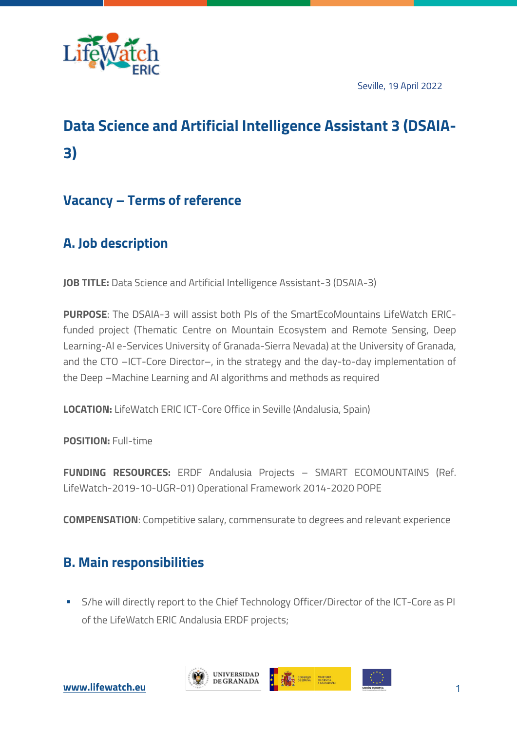

Seville, 19 April 2022

# **Data Science and Artificial Intelligence Assistant 3 (DSAIA-3)**

### **Vacancy – Terms of reference**

# **A. Job description**

**JOB TITLE:** Data Science and Artificial Intelligence Assistant-3 (DSAIA-3)

**PURPOSE**: The DSAIA-3 will assist both PIs of the SmartEcoMountains LifeWatch ERICfunded project (Thematic Centre on Mountain Ecosystem and Remote Sensing, Deep Learning-AI e-Services University of Granada-Sierra Nevada) at the University of Granada, and the CTO –ICT-Core Director–, in the strategy and the day-to-day implementation of the Deep –Machine Learning and AI algorithms and methods as required

**LOCATION:** LifeWatch ERIC ICT-Core Office in Seville (Andalusia, Spain)

**POSITION:** Full-time

**FUNDING RESOURCES:** ERDF Andalusia Projects – SMART ECOMOUNTAINS (Ref. LifeWatch-2019-10-UGR-01) Operational Framework 2014-2020 POPE

**COMPENSATION**: Competitive salary, commensurate to degrees and relevant experience

### **B. Main responsibilities**

**• S/he will directly report to the Chief Technology Officer/Director of the ICT-Core as PI** of the LifeWatch ERIC Andalusia ERDF projects;





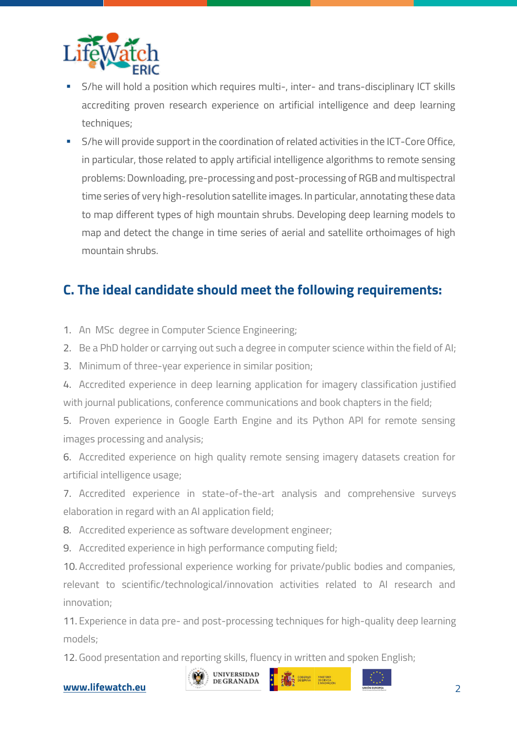

- § S/he will hold a position which requires multi-, inter- and trans-disciplinary ICT skills accrediting proven research experience on artificial intelligence and deep learning techniques;
- § S/he will provide support in the coordination of related activities in the ICT-Core Office, in particular, those related to apply artificial intelligence algorithms to remote sensing problems: Downloading, pre-processing and post-processing of RGB and multispectral time series of very high-resolution satellite images. In particular, annotating these data to map different types of high mountain shrubs. Developing deep learning models to map and detect the change in time series of aerial and satellite orthoimages of high mountain shrubs.

## **C. The ideal candidate should meet the following requirements:**

- 1. An MSc degree in Computer Science Engineering;
- 2. Be a PhD holder or carrying out such a degree in computer science within the field of AI;
- 3. Minimum of three-year experience in similar position;
- 4. Accredited experience in deep learning application for imagery classification justified with journal publications, conference communications and book chapters in the field;

5. Proven experience in Google Earth Engine and its Python API for remote sensing images processing and analysis;

6. Accredited experience on high quality remote sensing imagery datasets creation for artificial intelligence usage;

7. Accredited experience in state-of-the-art analysis and comprehensive surveys elaboration in regard with an AI application field;

8. Accredited experience as software development engineer;

9. Accredited experience in high performance computing field;

10. Accredited professional experience working for private/public bodies and companies, relevant to scientific/technological/innovation activities related to AI research and innovation;

11. Experience in data pre- and post-processing techniques for high-quality deep learning models;

12. Good presentation and reporting skills, fluency in written and spoken English;